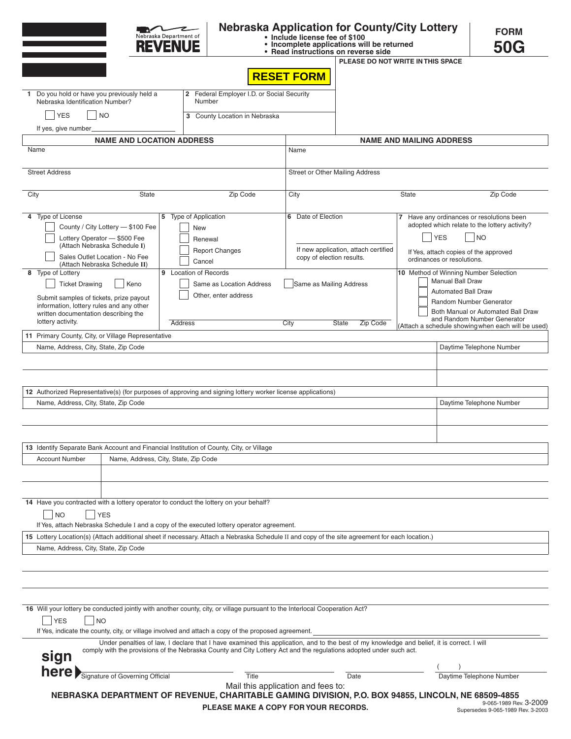|                                                                                                                                                                                                                                                      |              | Nebraska Department of<br><b>REVENUE</b>                                                            |                                                                                                                                                                                                                           | • Include license fee of \$100                                     | • Incomplete applications will be returned<br>• Read instructions on reverse side       | <b>Nebraska Application for County/City Lottery</b>                                                                                                                                                         | <b>FORM</b><br><b>50G</b>                                                                                                                                                                                                             |  |
|------------------------------------------------------------------------------------------------------------------------------------------------------------------------------------------------------------------------------------------------------|--------------|-----------------------------------------------------------------------------------------------------|---------------------------------------------------------------------------------------------------------------------------------------------------------------------------------------------------------------------------|--------------------------------------------------------------------|-----------------------------------------------------------------------------------------|-------------------------------------------------------------------------------------------------------------------------------------------------------------------------------------------------------------|---------------------------------------------------------------------------------------------------------------------------------------------------------------------------------------------------------------------------------------|--|
|                                                                                                                                                                                                                                                      |              |                                                                                                     |                                                                                                                                                                                                                           |                                                                    |                                                                                         | PLEASE DO NOT WRITE IN THIS SPACE                                                                                                                                                                           |                                                                                                                                                                                                                                       |  |
|                                                                                                                                                                                                                                                      |              |                                                                                                     |                                                                                                                                                                                                                           | <b>RESET FORM</b>                                                  |                                                                                         |                                                                                                                                                                                                             |                                                                                                                                                                                                                                       |  |
| 2 Federal Employer I.D. or Social Security<br>1 Do you hold or have you previously held a<br>Nebraska Identification Number?<br>Number                                                                                                               |              |                                                                                                     |                                                                                                                                                                                                                           |                                                                    |                                                                                         |                                                                                                                                                                                                             |                                                                                                                                                                                                                                       |  |
| <b>YES</b><br><b>NO</b><br>3 County Location in Nebraska                                                                                                                                                                                             |              |                                                                                                     |                                                                                                                                                                                                                           |                                                                    |                                                                                         |                                                                                                                                                                                                             |                                                                                                                                                                                                                                       |  |
| If yes, give number                                                                                                                                                                                                                                  |              |                                                                                                     |                                                                                                                                                                                                                           |                                                                    |                                                                                         |                                                                                                                                                                                                             |                                                                                                                                                                                                                                       |  |
| <b>NAME AND LOCATION ADDRESS</b>                                                                                                                                                                                                                     |              |                                                                                                     |                                                                                                                                                                                                                           |                                                                    |                                                                                         | <b>NAME AND MAILING ADDRESS</b>                                                                                                                                                                             |                                                                                                                                                                                                                                       |  |
| Name                                                                                                                                                                                                                                                 |              |                                                                                                     |                                                                                                                                                                                                                           | Name                                                               |                                                                                         |                                                                                                                                                                                                             |                                                                                                                                                                                                                                       |  |
| <b>Street Address</b>                                                                                                                                                                                                                                |              |                                                                                                     |                                                                                                                                                                                                                           | Street or Other Mailing Address                                    |                                                                                         |                                                                                                                                                                                                             |                                                                                                                                                                                                                                       |  |
| City                                                                                                                                                                                                                                                 | <b>State</b> |                                                                                                     | Zip Code                                                                                                                                                                                                                  | City                                                               |                                                                                         | <b>State</b>                                                                                                                                                                                                | Zip Code                                                                                                                                                                                                                              |  |
| 4 Type of License<br>County / City Lottery - \$100 Fee<br>Lottery Operator - \$500 Fee<br>(Attach Nebraska Schedule I)<br>Sales Outlet Location - No Fee<br>(Attach Nebraska Schedule II)<br>8 Type of Lottery                                       |              | 5 Type of Application<br>New<br>Renewal<br><b>Report Changes</b><br>Cancel<br>9 Location of Records |                                                                                                                                                                                                                           |                                                                    | 6 Date of Election<br>If new application, attach certified<br>copy of election results. |                                                                                                                                                                                                             | 7 Have any ordinances or resolutions been<br>adopted which relate to the lottery activity?<br><b>YES</b><br><b>NO</b><br>If Yes, attach copies of the approved<br>ordinances or resolutions.<br>10 Method of Winning Number Selection |  |
| <b>Ticket Drawing</b><br>Keno<br>Submit samples of tickets, prize payout<br>information, lottery rules and any other<br>written documentation describing the<br>lottery activity.                                                                    |              | Same as Location Address<br>Other, enter address<br>Address                                         |                                                                                                                                                                                                                           | Same as Mailing Address<br>City<br><b>Zip Code</b><br><b>State</b> |                                                                                         | <b>Manual Ball Draw</b><br><b>Automated Ball Draw</b><br>Random Number Generator<br>Both Manual or Automated Ball Draw<br>and Random Number Generator<br>(Attach a schedule showing when each will be used) |                                                                                                                                                                                                                                       |  |
| 11 Primary County, City, or Village Representative                                                                                                                                                                                                   |              |                                                                                                     |                                                                                                                                                                                                                           |                                                                    |                                                                                         |                                                                                                                                                                                                             |                                                                                                                                                                                                                                       |  |
| Name, Address, City, State, Zip Code<br>Daytime Telephone Number                                                                                                                                                                                     |              |                                                                                                     |                                                                                                                                                                                                                           |                                                                    |                                                                                         |                                                                                                                                                                                                             |                                                                                                                                                                                                                                       |  |
|                                                                                                                                                                                                                                                      |              |                                                                                                     |                                                                                                                                                                                                                           |                                                                    |                                                                                         |                                                                                                                                                                                                             |                                                                                                                                                                                                                                       |  |
|                                                                                                                                                                                                                                                      |              |                                                                                                     |                                                                                                                                                                                                                           |                                                                    |                                                                                         |                                                                                                                                                                                                             |                                                                                                                                                                                                                                       |  |
| 12 Authorized Representative(s) (for purposes of approving and signing lottery worker license applications)                                                                                                                                          |              |                                                                                                     |                                                                                                                                                                                                                           |                                                                    |                                                                                         |                                                                                                                                                                                                             |                                                                                                                                                                                                                                       |  |
| Name, Address, City, State, Zip Code                                                                                                                                                                                                                 |              |                                                                                                     |                                                                                                                                                                                                                           |                                                                    |                                                                                         |                                                                                                                                                                                                             | Daytime Telephone Number                                                                                                                                                                                                              |  |
|                                                                                                                                                                                                                                                      |              |                                                                                                     |                                                                                                                                                                                                                           |                                                                    |                                                                                         |                                                                                                                                                                                                             |                                                                                                                                                                                                                                       |  |
|                                                                                                                                                                                                                                                      |              |                                                                                                     |                                                                                                                                                                                                                           |                                                                    |                                                                                         |                                                                                                                                                                                                             |                                                                                                                                                                                                                                       |  |
| 13 Identify Separate Bank Account and Financial Institution of County, City, or Village                                                                                                                                                              |              |                                                                                                     |                                                                                                                                                                                                                           |                                                                    |                                                                                         |                                                                                                                                                                                                             |                                                                                                                                                                                                                                       |  |
| Name, Address, City, State, Zip Code<br><b>Account Number</b>                                                                                                                                                                                        |              |                                                                                                     |                                                                                                                                                                                                                           |                                                                    |                                                                                         |                                                                                                                                                                                                             |                                                                                                                                                                                                                                       |  |
| 14 Have you contracted with a lottery operator to conduct the lottery on your behalf?<br><b>NO</b><br>15 Lottery Location(s) (Attach additional sheet if necessary. Attach a Nebraska Schedule II and copy of the site agreement for each location.) | <b>YES</b>   |                                                                                                     | If Yes, attach Nebraska Schedule I and a copy of the executed lottery operator agreement.                                                                                                                                 |                                                                    |                                                                                         |                                                                                                                                                                                                             |                                                                                                                                                                                                                                       |  |
| Name, Address, City, State, Zip Code                                                                                                                                                                                                                 |              |                                                                                                     |                                                                                                                                                                                                                           |                                                                    |                                                                                         |                                                                                                                                                                                                             |                                                                                                                                                                                                                                       |  |
|                                                                                                                                                                                                                                                      |              |                                                                                                     |                                                                                                                                                                                                                           |                                                                    |                                                                                         |                                                                                                                                                                                                             |                                                                                                                                                                                                                                       |  |
|                                                                                                                                                                                                                                                      |              |                                                                                                     |                                                                                                                                                                                                                           |                                                                    |                                                                                         |                                                                                                                                                                                                             |                                                                                                                                                                                                                                       |  |
|                                                                                                                                                                                                                                                      |              |                                                                                                     |                                                                                                                                                                                                                           |                                                                    |                                                                                         |                                                                                                                                                                                                             |                                                                                                                                                                                                                                       |  |
| 16 Will your lottery be conducted jointly with another county, city, or village pursuant to the Interlocal Cooperation Act?<br><b>YES</b><br><b>NO</b>                                                                                               |              |                                                                                                     |                                                                                                                                                                                                                           |                                                                    |                                                                                         |                                                                                                                                                                                                             |                                                                                                                                                                                                                                       |  |
|                                                                                                                                                                                                                                                      |              |                                                                                                     | If Yes, indicate the county, city, or village involved and attach a copy of the proposed agreement.<br>comply with the provisions of the Nebraska County and City Lottery Act and the regulations adopted under such act. |                                                                    |                                                                                         | Under penalties of law, I declare that I have examined this application, and to the best of my knowledge and belief, it is correct. I will                                                                  |                                                                                                                                                                                                                                       |  |
| sign                                                                                                                                                                                                                                                 |              |                                                                                                     |                                                                                                                                                                                                                           |                                                                    |                                                                                         |                                                                                                                                                                                                             |                                                                                                                                                                                                                                       |  |
| here Signature of Governing Official                                                                                                                                                                                                                 |              |                                                                                                     | Title                                                                                                                                                                                                                     |                                                                    | Date                                                                                    |                                                                                                                                                                                                             | Daytime Telephone Number                                                                                                                                                                                                              |  |
|                                                                                                                                                                                                                                                      |              |                                                                                                     | Mail this application and fees to:                                                                                                                                                                                        |                                                                    |                                                                                         | NEBRASKA DEPARTMENT OF REVENUE, CHARITABLE GAMING DIVISION, P.O. BOX 94855, LINCOLN, NE 68509-4855                                                                                                          |                                                                                                                                                                                                                                       |  |
|                                                                                                                                                                                                                                                      |              |                                                                                                     | PLEASE MAKE A COPY FOR YOUR RECORDS.                                                                                                                                                                                      |                                                                    |                                                                                         |                                                                                                                                                                                                             | 9-065-1989 Rev. 3-2009<br>Supersedes 9-065-1989 Rev. 3-2003                                                                                                                                                                           |  |